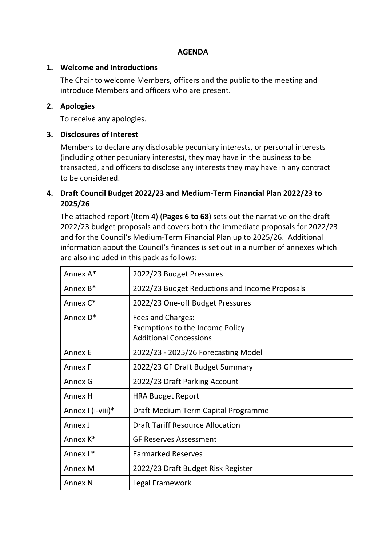#### **AGENDA**

#### **1. Welcome and Introductions**

The Chair to welcome Members, officers and the public to the meeting and introduce Members and officers who are present.

### **2. Apologies**

To receive any apologies.

### **3. Disclosures of Interest**

Members to declare any disclosable pecuniary interests, or personal interests (including other pecuniary interests), they may have in the business to be transacted, and officers to disclose any interests they may have in any contract to be considered.

# **4. Draft Council Budget 2022/23 and Medium-Term Financial Plan 2022/23 to 2025/26**

The attached report (Item 4) (**Pages 6 to 68**) sets out the narrative on the draft 2022/23 budget proposals and covers both the immediate proposals for 2022/23 and for the Council's Medium-Term Financial Plan up to 2025/26. Additional information about the Council's finances is set out in a number of annexes which are also included in this pack as follows:

| Annex A*             | 2022/23 Budget Pressures                                                              |
|----------------------|---------------------------------------------------------------------------------------|
| Annex B*             | 2022/23 Budget Reductions and Income Proposals                                        |
| Annex C*             | 2022/23 One-off Budget Pressures                                                      |
| Annex D <sup>*</sup> | Fees and Charges:<br>Exemptions to the Income Policy<br><b>Additional Concessions</b> |
| <b>Annex E</b>       | 2022/23 - 2025/26 Forecasting Model                                                   |
| Annex F              | 2022/23 GF Draft Budget Summary                                                       |
| Annex G              | 2022/23 Draft Parking Account                                                         |
| Annex H              | <b>HRA Budget Report</b>                                                              |
| Annex I (i-viii)*    | Draft Medium Term Capital Programme                                                   |
| Annex J              | <b>Draft Tariff Resource Allocation</b>                                               |
| Annex K*             | <b>GF Reserves Assessment</b>                                                         |
| Annex L*             | <b>Earmarked Reserves</b>                                                             |
| Annex M              | 2022/23 Draft Budget Risk Register                                                    |
| <b>Annex N</b>       | Legal Framework                                                                       |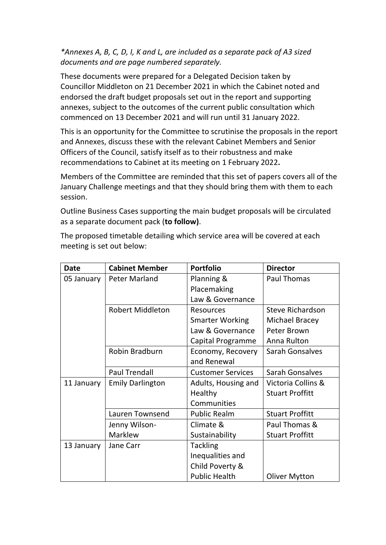# *\*Annexes A, B, C, D, I, K and L, are included as a separate pack of A3 sized documents and are page numbered separately.*

These documents were prepared for a Delegated Decision taken by Councillor Middleton on 21 December 2021 in which the Cabinet noted and endorsed the draft budget proposals set out in the report and supporting annexes, subject to the outcomes of the current public consultation which commenced on 13 December 2021 and will run until 31 January 2022.

This is an opportunity for the Committee to scrutinise the proposals in the report and Annexes, discuss these with the relevant Cabinet Members and Senior Officers of the Council, satisfy itself as to their robustness and make recommendations to Cabinet at its meeting on 1 February 2022**.** 

Members of the Committee are reminded that this set of papers covers all of the January Challenge meetings and that they should bring them with them to each session.

Outline Business Cases supporting the main budget proposals will be circulated as a separate document pack (**to follow)**.

The proposed timetable detailing which service area will be covered at each meeting is set out below:

| <b>Date</b> | <b>Cabinet Member</b>   | <b>Portfolio</b>         | <b>Director</b>         |
|-------------|-------------------------|--------------------------|-------------------------|
| 05 January  | <b>Peter Marland</b>    | Planning &               | <b>Paul Thomas</b>      |
|             |                         | Placemaking              |                         |
|             |                         | Law & Governance         |                         |
|             | <b>Robert Middleton</b> | <b>Resources</b>         | <b>Steve Richardson</b> |
|             |                         | <b>Smarter Working</b>   | Michael Bracey          |
|             |                         | Law & Governance         | Peter Brown             |
|             |                         | Capital Programme        | Anna Rulton             |
|             | Robin Bradburn          | Economy, Recovery        | <b>Sarah Gonsalves</b>  |
|             |                         | and Renewal              |                         |
|             | <b>Paul Trendall</b>    | <b>Customer Services</b> | Sarah Gonsalves         |
| 11 January  | <b>Emily Darlington</b> | Adults, Housing and      | Victoria Collins &      |
|             |                         | Healthy                  | <b>Stuart Proffitt</b>  |
|             |                         | Communities              |                         |
|             | Lauren Townsend         | <b>Public Realm</b>      | <b>Stuart Proffitt</b>  |
|             | Jenny Wilson-           | Climate &                | Paul Thomas &           |
|             | Marklew                 | Sustainability           | <b>Stuart Proffitt</b>  |
| 13 January  | Jane Carr               | <b>Tackling</b>          |                         |
|             |                         | Inequalities and         |                         |
|             |                         | Child Poverty &          |                         |
|             |                         | <b>Public Health</b>     | <b>Oliver Mytton</b>    |